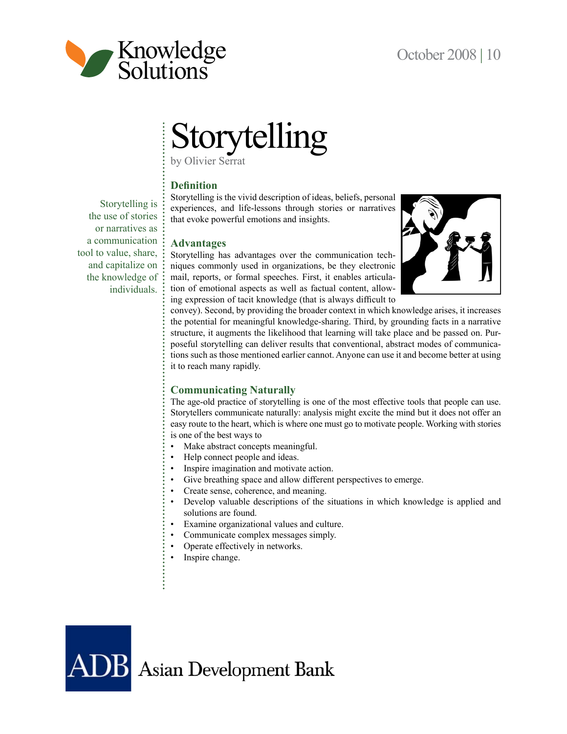

Storytelling is the use of stories or narratives as a communication tool to value, share, and capitalize on the knowledge of individuals.

# Storytelling

by Olivier Serrat

# **Definition**

Storytelling is the vivid description of ideas, beliefs, personal experiences, and life-lessons through stories or narratives that evoke powerful emotions and insights.

# **Advantages**

Storytelling has advantages over the communication techniques commonly used in organizations, be they electronic mail, reports, or formal speeches. First, it enables articulation of emotional aspects as well as factual content, allowing expression of tacit knowledge (that is always difficult to



convey). Second, by providing the broader context in which knowledge arises, it increases the potential for meaningful knowledge-sharing. Third, by grounding facts in a narrative structure, it augments the likelihood that learning will take place and be passed on. Purposeful storytelling can deliver results that conventional, abstract modes of communications such as those mentioned earlier cannot. Anyone can use it and become better at using it to reach many rapidly.

# **Communicating Naturally**

The age-old practice of storytelling is one of the most effective tools that people can use. Storytellers communicate naturally: analysis might excite the mind but it does not offer an easy route to the heart, which is where one must go to motivate people. Working with stories is one of the best ways to

- Make abstract concepts meaningful.
- Help connect people and ideas.
- Inspire imagination and motivate action.
- Give breathing space and allow different perspectives to emerge.
- Create sense, coherence, and meaning.
- Develop valuable descriptions of the situations in which knowledge is applied and solutions are found.
- Examine organizational values and culture.
- Communicate complex messages simply.
- Operate effectively in networks.
- Inspire change.

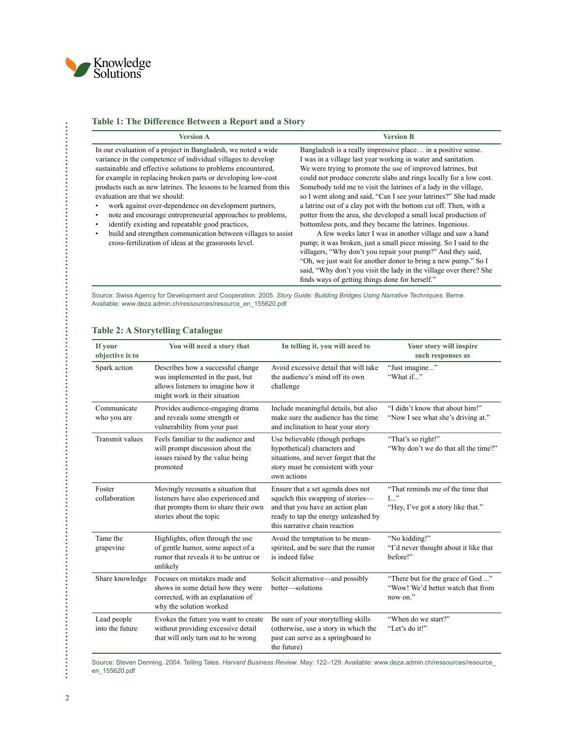

Î.

### **Table 1: The Difference Between a Report and a Story**

| <b>Version A</b>                                                                                                                                                                                                                                                                                                                                                                                                                                                                                                                                                                                                                                                                                  | <b>Version B</b>                                                                                                                                                                                                                                                                                                                                                                                                                                                                                                                                                                                                                                                                                                                                                                                                  |
|---------------------------------------------------------------------------------------------------------------------------------------------------------------------------------------------------------------------------------------------------------------------------------------------------------------------------------------------------------------------------------------------------------------------------------------------------------------------------------------------------------------------------------------------------------------------------------------------------------------------------------------------------------------------------------------------------|-------------------------------------------------------------------------------------------------------------------------------------------------------------------------------------------------------------------------------------------------------------------------------------------------------------------------------------------------------------------------------------------------------------------------------------------------------------------------------------------------------------------------------------------------------------------------------------------------------------------------------------------------------------------------------------------------------------------------------------------------------------------------------------------------------------------|
| In our evaluation of a project in Bangladesh, we noted a wide<br>variance in the competence of individual villages to develop<br>sustainable and effective solutions to problems encountered,<br>for example in replacing broken parts or developing low-cost<br>products such as new latrines. The lessons to be learned from this<br>evaluation are that we should:<br>work against over-dependence on development partners,<br>note and encourage entrepreneurial approaches to problems,<br>٠<br>identify existing and repeatable good practices,<br>٠<br>build and strengthen communication between villages to assist<br>$\bullet$<br>cross-fertilization of ideas at the grassroots level. | Bangladesh is a really impressive place in a positive sense.<br>I was in a village last year working in water and sanitation.<br>We were trying to promote the use of improved latrines, but<br>could not produce concrete slabs and rings locally for a low cost.<br>Somebody told me to visit the latrines of a lady in the village,<br>so I went along and said, "Can I see your latrines?" She had made<br>a latrine out of a clay pot with the bottom cut off. Then, with a<br>potter from the area, she developed a small local production of<br>bottomless pots, and they became the latrines. Ingenious.<br>A few weeks later I was in another village and saw a hand<br>pump; it was broken, just a small piece missing. So I said to the<br>villagers, "Why don't you repair your pump?" And they said, |

"Oh, we just wait for another donor to bring a new pump." So I said, "Why don't you visit the lady in the village over there? She

finds ways of getting things done for herself."

Source: Swiss Agency for Development and Cooperation. 2005. *[Story Guide: Building Bridges Using Narrative Techniques](www.deza.admin.ch/ressources/resource_en_155620.pdf)*. Berne. Available: [www.deza.admin.ch/ressources/resource\\_en\\_155620.pdf](www.deza.admin.ch/ressources/resource_en_155620.pdf)

| If your<br>objective is to     | You will need a story that                                                                                                                   | In telling it, you will need to                                                                                                                                                     | Your story will inspire<br>such responses as                                       |
|--------------------------------|----------------------------------------------------------------------------------------------------------------------------------------------|-------------------------------------------------------------------------------------------------------------------------------------------------------------------------------------|------------------------------------------------------------------------------------|
| Spark action                   | Describes how a successful change<br>was implemented in the past, but<br>allows listeners to imagine how it<br>might work in their situation | Avoid excessive detail that will take<br>the audience's mind off its own<br>challenge                                                                                               | "Just imagine"<br>"What if"                                                        |
| Communicate<br>who you are     | Provides audience-engaging drama<br>and reveals some strength or<br>vulnerability from your past                                             | Include meaningful details, but also<br>make sure the audience has the time<br>and inclination to hear your story                                                                   | "I didn't know that about him!"<br>"Now I see what she's driving at."              |
| Transmit values                | Feels familiar to the audience and<br>will prompt discussion about the<br>issues raised by the value being<br>promoted                       | Use believable (though perhaps<br>hypothetical) characters and<br>situations, and never forget that the<br>story must be consistent with your<br>own actions                        | "That's so right!"<br>"Why don't we do that all the time?"                         |
| Foster<br>collaboration        | Movingly recounts a situation that<br>listeners have also experienced and<br>that prompts them to share their own<br>stories about the topic | Ensure that a set agenda does not<br>squelch this swapping of stories-<br>and that you have an action plan<br>ready to tap the energy unleashed by<br>this narrative chain reaction | "That reminds me of the time that<br>$L$ .<br>"Hey, I've got a story like that."   |
| Tame the<br>grapevine          | Highlights, often through the use<br>of gentle humor, some aspect of a<br>rumor that reveals it to be untrue or<br>unlikely                  | Avoid the temptation to be mean-<br>spirited, and be sure that the rumor<br>is indeed false                                                                                         | "No kidding!"<br>"I'd never thought about it like that<br>before!"                 |
| Share knowledge                | Focuses on mistakes made and<br>shows in some detail how they were<br>corrected, with an explanation of<br>why the solution worked           | Solicit alternative—and possibly<br>better-solutions                                                                                                                                | "There but for the grace of God "<br>"Wow! We'd better watch that from<br>now on." |
| Lead people<br>into the future | Evokes the future you want to create<br>without providing excessive detail<br>that will only turn out to be wrong                            | Be sure of your storytelling skills<br>(otherwise, use a story in which the<br>past can serve as a springboard to<br>the future)                                                    | "When do we start?"<br>"Let's do it!"                                              |

### **Table 2: A Storytelling Catalogue**

Source: Steven Denning. 2004. Telling Tales. *[Harvard Business Review](www.deza.admin.ch/ressources/resource_en_155620.pdf)*. May: 122–129. Available: [www.deza.admin.ch/ressources/resource\\_](www.deza.admin.ch/ressources/resource_en_155620.pdf) [en\\_155620.pdf](www.deza.admin.ch/ressources/resource_en_155620.pdf)

÷.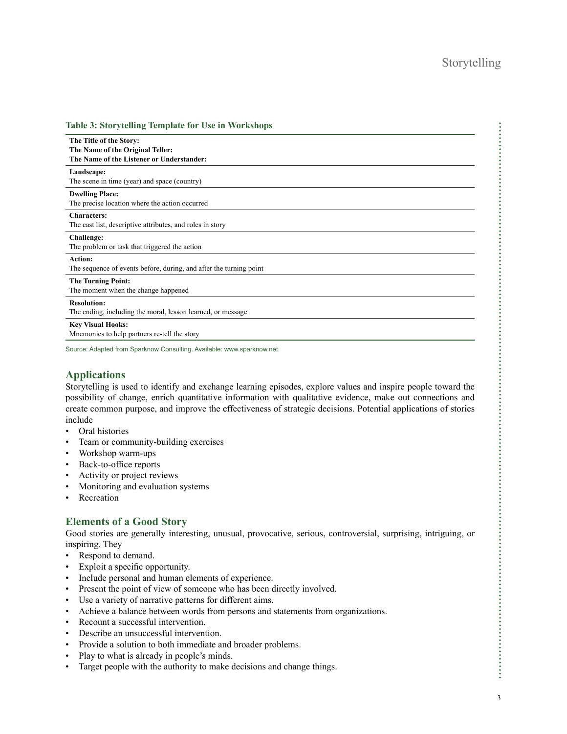| <b>Table 3: Storytelling Template for Use in Workshops</b>                                               |
|----------------------------------------------------------------------------------------------------------|
| The Title of the Story:<br>The Name of the Original Teller:<br>The Name of the Listener or Understander: |
| Landscape:<br>The scene in time (year) and space (country)                                               |
| <b>Dwelling Place:</b><br>The precise location where the action occurred                                 |
| <b>Characters:</b><br>The cast list, descriptive attributes, and roles in story                          |
| <b>Challenge:</b><br>The problem or task that triggered the action                                       |
| <b>Action:</b><br>The sequence of events before, during, and after the turning point                     |
| <b>The Turning Point:</b><br>The moment when the change happened                                         |
| <b>Resolution:</b><br>The ending, including the moral, lesson learned, or message                        |
| <b>Key Visual Hooks:</b><br>Mnemonics to help partners re-tell the story                                 |
|                                                                                                          |

Source: Adapted from Sparknow Consulting. Available:<www.sparknow.net>.

# **Applications**

Storytelling is used to identify and exchange learning episodes, explore values and inspire people toward the possibility of change, enrich quantitative information with qualitative evidence, make out connections and create common purpose, and improve the effectiveness of strategic decisions. Potential applications of stories include

- Oral histories
- Team or community-building exercises
- Workshop warm-ups
- Back-to-office reports
- Activity or project reviews
- Monitoring and evaluation systems
- **Recreation**

## **Elements of a Good Story**

Good stories are generally interesting, unusual, provocative, serious, controversial, surprising, intriguing, or inspiring. They

- Respond to demand.
- Exploit a specific opportunity.
- Include personal and human elements of experience.
- Present the point of view of someone who has been directly involved.
- Use a variety of narrative patterns for different aims.
- Achieve a balance between words from persons and statements from organizations.
- Recount a successful intervention.
- Describe an unsuccessful intervention.
- Provide a solution to both immediate and broader problems.
- Play to what is already in people's minds.
- Target people with the authority to make decisions and change things.